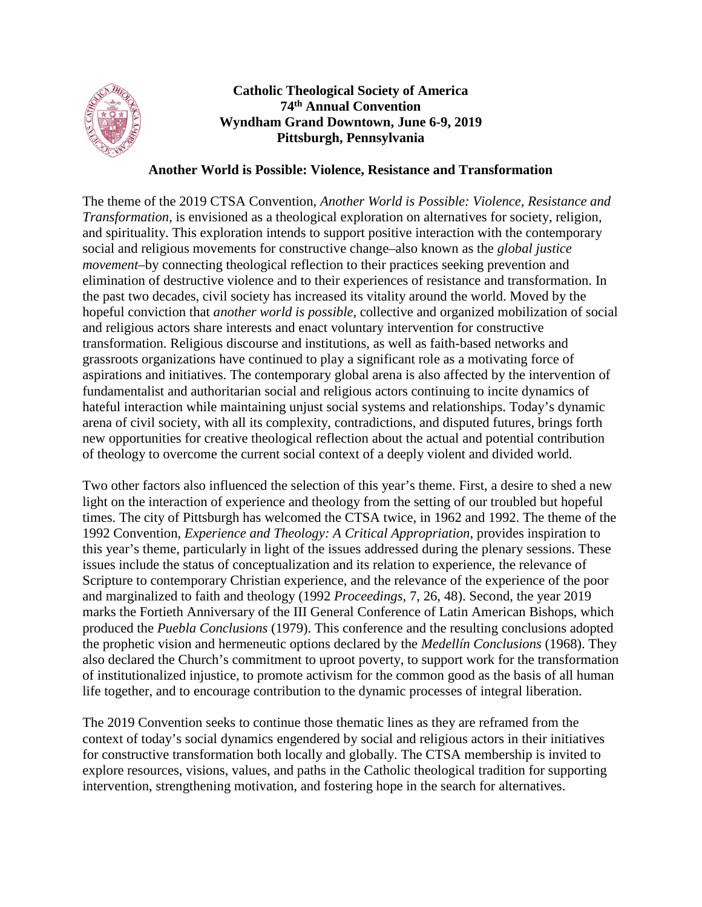

## **Catholic Theological Society of America 74th Annual Convention Wyndham Grand Downtown, June 6-9, 2019 Pittsburgh, Pennsylvania**

## **Another World is Possible: Violence, Resistance and Transformation**

The theme of the 2019 CTSA Convention, *Another World is Possible: Violence, Resistance and Transformation*, is envisioned as a theological exploration on alternatives for society, religion, and spirituality. This exploration intends to support positive interaction with the contemporary social and religious movements for constructive change–also known as the *global justice movement*–by connecting theological reflection to their practices seeking prevention and elimination of destructive violence and to their experiences of resistance and transformation. In the past two decades, civil society has increased its vitality around the world. Moved by the hopeful conviction that *another world is possible*, collective and organized mobilization of social and religious actors share interests and enact voluntary intervention for constructive transformation. Religious discourse and institutions, as well as faith-based networks and grassroots organizations have continued to play a significant role as a motivating force of aspirations and initiatives. The contemporary global arena is also affected by the intervention of fundamentalist and authoritarian social and religious actors continuing to incite dynamics of hateful interaction while maintaining unjust social systems and relationships. Today's dynamic arena of civil society, with all its complexity, contradictions, and disputed futures, brings forth new opportunities for creative theological reflection about the actual and potential contribution of theology to overcome the current social context of a deeply violent and divided world.

Two other factors also influenced the selection of this year's theme. First, a desire to shed a new light on the interaction of experience and theology from the setting of our troubled but hopeful times. The city of Pittsburgh has welcomed the CTSA twice, in 1962 and 1992. The theme of the 1992 Convention, *Experience and Theology: A Critical Appropriation*, provides inspiration to this year's theme, particularly in light of the issues addressed during the plenary sessions. These issues include the status of conceptualization and its relation to experience, the relevance of Scripture to contemporary Christian experience, and the relevance of the experience of the poor and marginalized to faith and theology (1992 *Proceedings*, 7, 26, 48). Second, the year 2019 marks the Fortieth Anniversary of the III General Conference of Latin American Bishops, which produced the *Puebla Conclusions* (1979). This conference and the resulting conclusions adopted the prophetic vision and hermeneutic options declared by the *Medellín Conclusions* (1968). They also declared the Church's commitment to uproot poverty, to support work for the transformation of institutionalized injustice, to promote activism for the common good as the basis of all human life together, and to encourage contribution to the dynamic processes of integral liberation.

The 2019 Convention seeks to continue those thematic lines as they are reframed from the context of today's social dynamics engendered by social and religious actors in their initiatives for constructive transformation both locally and globally. The CTSA membership is invited to explore resources, visions, values, and paths in the Catholic theological tradition for supporting intervention, strengthening motivation, and fostering hope in the search for alternatives.